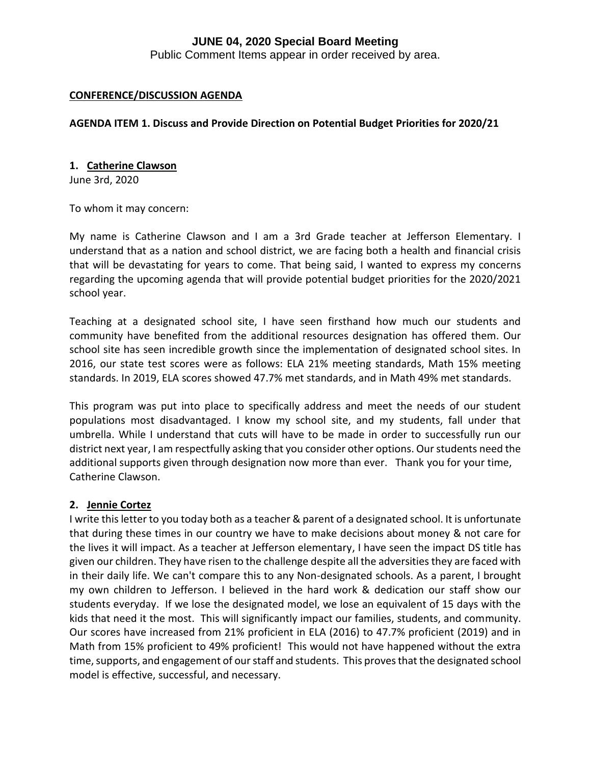Public Comment Items appear in order received by area.

#### **CONFERENCE/DISCUSSION AGENDA**

## **AGENDA ITEM 1. Discuss and Provide Direction on Potential Budget Priorities for 2020/21**

#### **1. Catherine Clawson**

June 3rd, 2020

To whom it may concern:

My name is Catherine Clawson and I am a 3rd Grade teacher at Jefferson Elementary. I understand that as a nation and school district, we are facing both a health and financial crisis that will be devastating for years to come. That being said, I wanted to express my concerns regarding the upcoming agenda that will provide potential budget priorities for the 2020/2021 school year.

Teaching at a designated school site, I have seen firsthand how much our students and community have benefited from the additional resources designation has offered them. Our school site has seen incredible growth since the implementation of designated school sites. In 2016, our state test scores were as follows: ELA 21% meeting standards, Math 15% meeting standards. In 2019, ELA scores showed 47.7% met standards, and in Math 49% met standards.

This program was put into place to specifically address and meet the needs of our student populations most disadvantaged. I know my school site, and my students, fall under that umbrella. While I understand that cuts will have to be made in order to successfully run our district next year, I am respectfully asking that you consider other options. Our students need the additional supports given through designation now more than ever. Thank you for your time, Catherine Clawson.

#### **2. Jennie Cortez**

I write this letter to you today both as a teacher & parent of a designated school. It is unfortunate that during these times in our country we have to make decisions about money & not care for the lives it will impact. As a teacher at Jefferson elementary, I have seen the impact DS title has given our children. They have risen to the challenge despite all the adversities they are faced with in their daily life. We can't compare this to any Non-designated schools. As a parent, I brought my own children to Jefferson. I believed in the hard work & dedication our staff show our students everyday. If we lose the designated model, we lose an equivalent of 15 days with the kids that need it the most. This will significantly impact our families, students, and community. Our scores have increased from 21% proficient in ELA (2016) to 47.7% proficient (2019) and in Math from 15% proficient to 49% proficient! This would not have happened without the extra time, supports, and engagement of our staff and students. This proves that the designated school model is effective, successful, and necessary.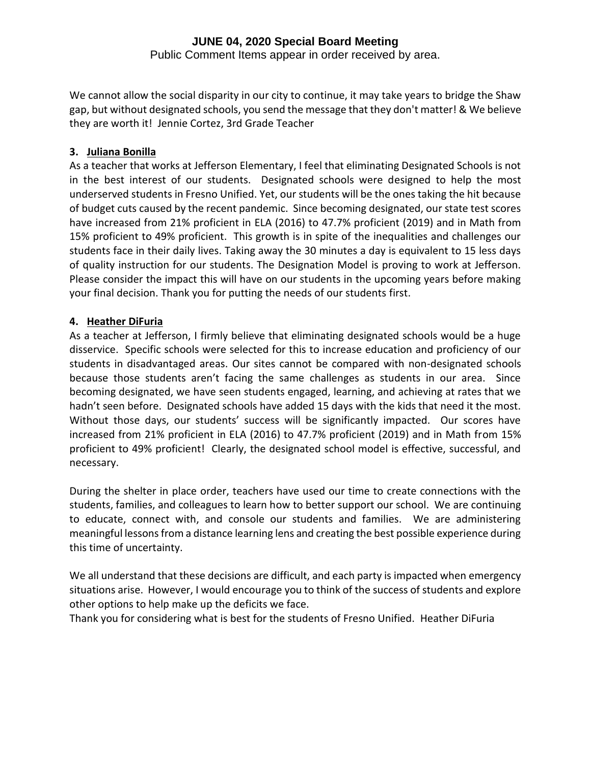## **JUNE 04, 2020 Special Board Meeting** Public Comment Items appear in order received by area.

We cannot allow the social disparity in our city to continue, it may take years to bridge the Shaw gap, but without designated schools, you send the message that they don't matter! & We believe they are worth it! Jennie Cortez, 3rd Grade Teacher

# **3. Juliana Bonilla**

As a teacher that works at Jefferson Elementary, I feel that eliminating Designated Schools is not in the best interest of our students. Designated schools were designed to help the most underserved students in Fresno Unified. Yet, our students will be the ones taking the hit because of budget cuts caused by the recent pandemic. Since becoming designated, our state test scores have increased from 21% proficient in ELA (2016) to 47.7% proficient (2019) and in Math from 15% proficient to 49% proficient. This growth is in spite of the inequalities and challenges our students face in their daily lives. Taking away the 30 minutes a day is equivalent to 15 less days of quality instruction for our students. The Designation Model is proving to work at Jefferson. Please consider the impact this will have on our students in the upcoming years before making your final decision. Thank you for putting the needs of our students first.

# **4. Heather DiFuria**

As a teacher at Jefferson, I firmly believe that eliminating designated schools would be a huge disservice. Specific schools were selected for this to increase education and proficiency of our students in disadvantaged areas. Our sites cannot be compared with non-designated schools because those students aren't facing the same challenges as students in our area. Since becoming designated, we have seen students engaged, learning, and achieving at rates that we hadn't seen before. Designated schools have added 15 days with the kids that need it the most. Without those days, our students' success will be significantly impacted. Our scores have increased from 21% proficient in ELA (2016) to 47.7% proficient (2019) and in Math from 15% proficient to 49% proficient! Clearly, the designated school model is effective, successful, and necessary.

During the shelter in place order, teachers have used our time to create connections with the students, families, and colleagues to learn how to better support our school. We are continuing to educate, connect with, and console our students and families. We are administering meaningful lessons from a distance learning lens and creating the best possible experience during this time of uncertainty.

We all understand that these decisions are difficult, and each party is impacted when emergency situations arise. However, I would encourage you to think of the success of students and explore other options to help make up the deficits we face.

Thank you for considering what is best for the students of Fresno Unified. Heather DiFuria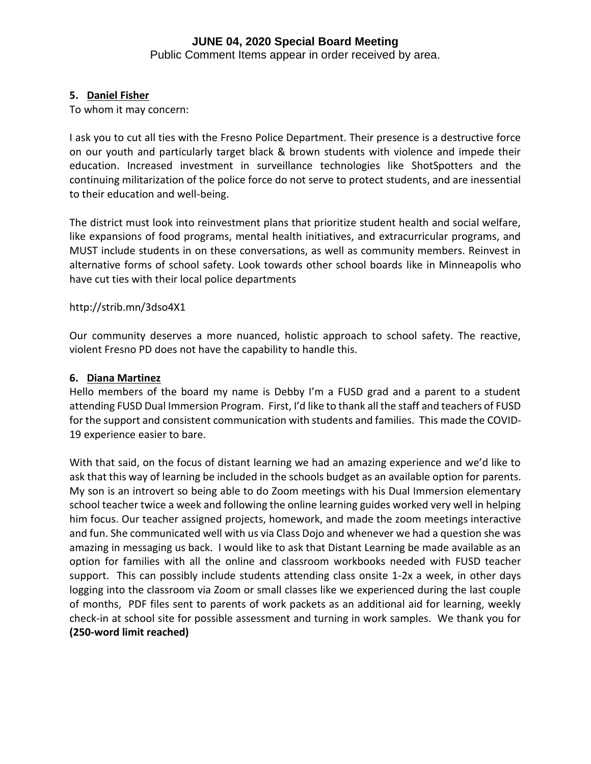Public Comment Items appear in order received by area.

## **5. Daniel Fisher**

To whom it may concern:

I ask you to cut all ties with the Fresno Police Department. Their presence is a destructive force on our youth and particularly target black & brown students with violence and impede their education. Increased investment in surveillance technologies like ShotSpotters and the continuing militarization of the police force do not serve to protect students, and are inessential to their education and well-being.

The district must look into reinvestment plans that prioritize student health and social welfare, like expansions of food programs, mental health initiatives, and extracurricular programs, and MUST include students in on these conversations, as well as community members. Reinvest in alternative forms of school safety. Look towards other school boards like in Minneapolis who have cut ties with their local police departments

## http://strib.mn/3dso4X1

Our community deserves a more nuanced, holistic approach to school safety. The reactive, violent Fresno PD does not have the capability to handle this.

#### **6. Diana Martinez**

Hello members of the board my name is Debby I'm a FUSD grad and a parent to a student attending FUSD Dual Immersion Program. First, I'd like to thank all the staff and teachers of FUSD for the support and consistent communication with students and families. This made the COVID-19 experience easier to bare.

With that said, on the focus of distant learning we had an amazing experience and we'd like to ask that this way of learning be included in the schools budget as an available option for parents. My son is an introvert so being able to do Zoom meetings with his Dual Immersion elementary school teacher twice a week and following the online learning guides worked very well in helping him focus. Our teacher assigned projects, homework, and made the zoom meetings interactive and fun. She communicated well with us via Class Dojo and whenever we had a question she was amazing in messaging us back. I would like to ask that Distant Learning be made available as an option for families with all the online and classroom workbooks needed with FUSD teacher support. This can possibly include students attending class onsite 1-2x a week, in other days logging into the classroom via Zoom or small classes like we experienced during the last couple of months, PDF files sent to parents of work packets as an additional aid for learning, weekly check-in at school site for possible assessment and turning in work samples. We thank you for **(250-word limit reached)**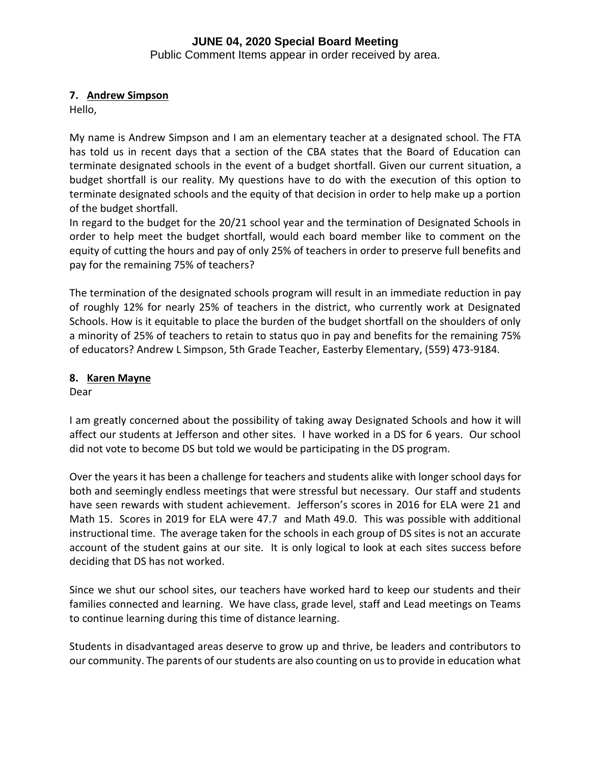Public Comment Items appear in order received by area.

# **7. Andrew Simpson**

Hello,

My name is Andrew Simpson and I am an elementary teacher at a designated school. The FTA has told us in recent days that a section of the CBA states that the Board of Education can terminate designated schools in the event of a budget shortfall. Given our current situation, a budget shortfall is our reality. My questions have to do with the execution of this option to terminate designated schools and the equity of that decision in order to help make up a portion of the budget shortfall.

In regard to the budget for the 20/21 school year and the termination of Designated Schools in order to help meet the budget shortfall, would each board member like to comment on the equity of cutting the hours and pay of only 25% of teachers in order to preserve full benefits and pay for the remaining 75% of teachers?

The termination of the designated schools program will result in an immediate reduction in pay of roughly 12% for nearly 25% of teachers in the district, who currently work at Designated Schools. How is it equitable to place the burden of the budget shortfall on the shoulders of only a minority of 25% of teachers to retain to status quo in pay and benefits for the remaining 75% of educators? Andrew L Simpson, 5th Grade Teacher, Easterby Elementary, (559) 473-9184.

# **8. Karen Mayne**

Dear

I am greatly concerned about the possibility of taking away Designated Schools and how it will affect our students at Jefferson and other sites. I have worked in a DS for 6 years. Our school did not vote to become DS but told we would be participating in the DS program.

Over the years it has been a challenge for teachers and students alike with longer school days for both and seemingly endless meetings that were stressful but necessary. Our staff and students have seen rewards with student achievement. Jefferson's scores in 2016 for ELA were 21 and Math 15. Scores in 2019 for ELA were 47.7 and Math 49.0. This was possible with additional instructional time. The average taken for the schools in each group of DS sites is not an accurate account of the student gains at our site. It is only logical to look at each sites success before deciding that DS has not worked.

Since we shut our school sites, our teachers have worked hard to keep our students and their families connected and learning. We have class, grade level, staff and Lead meetings on Teams to continue learning during this time of distance learning.

Students in disadvantaged areas deserve to grow up and thrive, be leaders and contributors to our community. The parents of our students are also counting on us to provide in education what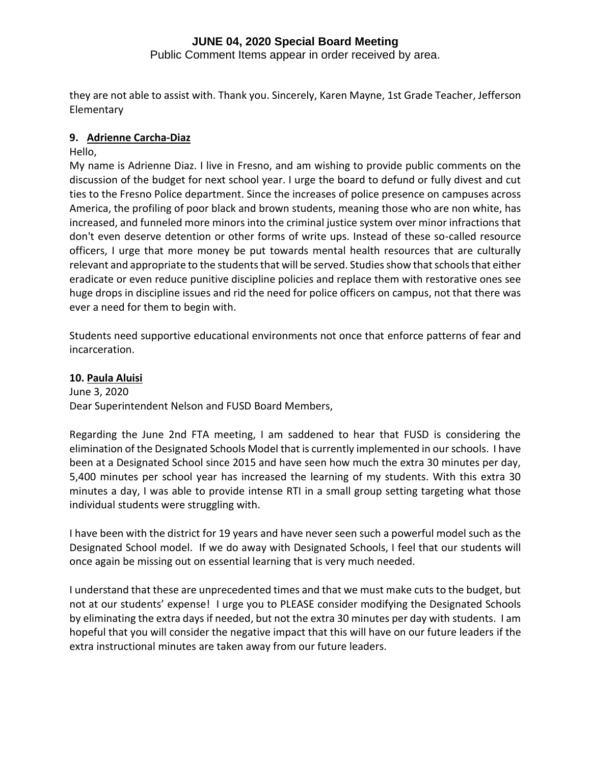Public Comment Items appear in order received by area.

they are not able to assist with. Thank you. Sincerely, Karen Mayne, 1st Grade Teacher, Jefferson Elementary

## **9. Adrienne Carcha-Diaz**

## Hello,

My name is Adrienne Diaz. I live in Fresno, and am wishing to provide public comments on the discussion of the budget for next school year. I urge the board to defund or fully divest and cut ties to the Fresno Police department. Since the increases of police presence on campuses across America, the profiling of poor black and brown students, meaning those who are non white, has increased, and funneled more minors into the criminal justice system over minor infractions that don't even deserve detention or other forms of write ups. Instead of these so-called resource officers, I urge that more money be put towards mental health resources that are culturally relevant and appropriate to the students that will be served. Studies show that schools that either eradicate or even reduce punitive discipline policies and replace them with restorative ones see huge drops in discipline issues and rid the need for police officers on campus, not that there was ever a need for them to begin with.

Students need supportive educational environments not once that enforce patterns of fear and incarceration.

## **10. Paula Aluisi**

June 3, 2020 Dear Superintendent Nelson and FUSD Board Members,

Regarding the June 2nd FTA meeting, I am saddened to hear that FUSD is considering the elimination of the Designated Schools Model that is currently implemented in our schools. I have been at a Designated School since 2015 and have seen how much the extra 30 minutes per day, 5,400 minutes per school year has increased the learning of my students. With this extra 30 minutes a day, I was able to provide intense RTI in a small group setting targeting what those individual students were struggling with.

I have been with the district for 19 years and have never seen such a powerful model such as the Designated School model. If we do away with Designated Schools, I feel that our students will once again be missing out on essential learning that is very much needed.

I understand that these are unprecedented times and that we must make cuts to the budget, but not at our students' expense! I urge you to PLEASE consider modifying the Designated Schools by eliminating the extra days if needed, but not the extra 30 minutes per day with students. I am hopeful that you will consider the negative impact that this will have on our future leaders if the extra instructional minutes are taken away from our future leaders.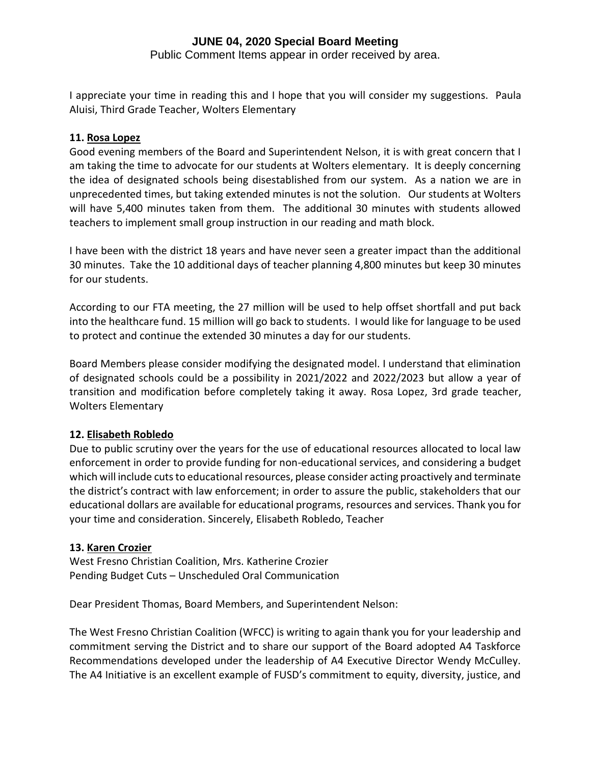Public Comment Items appear in order received by area.

I appreciate your time in reading this and I hope that you will consider my suggestions. Paula Aluisi, Third Grade Teacher, Wolters Elementary

## **11. Rosa Lopez**

Good evening members of the Board and Superintendent Nelson, it is with great concern that I am taking the time to advocate for our students at Wolters elementary. It is deeply concerning the idea of designated schools being disestablished from our system. As a nation we are in unprecedented times, but taking extended minutes is not the solution. Our students at Wolters will have 5,400 minutes taken from them. The additional 30 minutes with students allowed teachers to implement small group instruction in our reading and math block.

I have been with the district 18 years and have never seen a greater impact than the additional 30 minutes. Take the 10 additional days of teacher planning 4,800 minutes but keep 30 minutes for our students.

According to our FTA meeting, the 27 million will be used to help offset shortfall and put back into the healthcare fund. 15 million will go back to students. I would like for language to be used to protect and continue the extended 30 minutes a day for our students.

Board Members please consider modifying the designated model. I understand that elimination of designated schools could be a possibility in 2021/2022 and 2022/2023 but allow a year of transition and modification before completely taking it away. Rosa Lopez, 3rd grade teacher, Wolters Elementary

## **12. Elisabeth Robledo**

Due to public scrutiny over the years for the use of educational resources allocated to local law enforcement in order to provide funding for non-educational services, and considering a budget which will include cuts to educational resources, please consider acting proactively and terminate the district's contract with law enforcement; in order to assure the public, stakeholders that our educational dollars are available for educational programs, resources and services. Thank you for your time and consideration. Sincerely, Elisabeth Robledo, Teacher

## **13. Karen Crozier**

West Fresno Christian Coalition, Mrs. Katherine Crozier Pending Budget Cuts – Unscheduled Oral Communication

Dear President Thomas, Board Members, and Superintendent Nelson:

The West Fresno Christian Coalition (WFCC) is writing to again thank you for your leadership and commitment serving the District and to share our support of the Board adopted A4 Taskforce Recommendations developed under the leadership of A4 Executive Director Wendy McCulley. The A4 Initiative is an excellent example of FUSD's commitment to equity, diversity, justice, and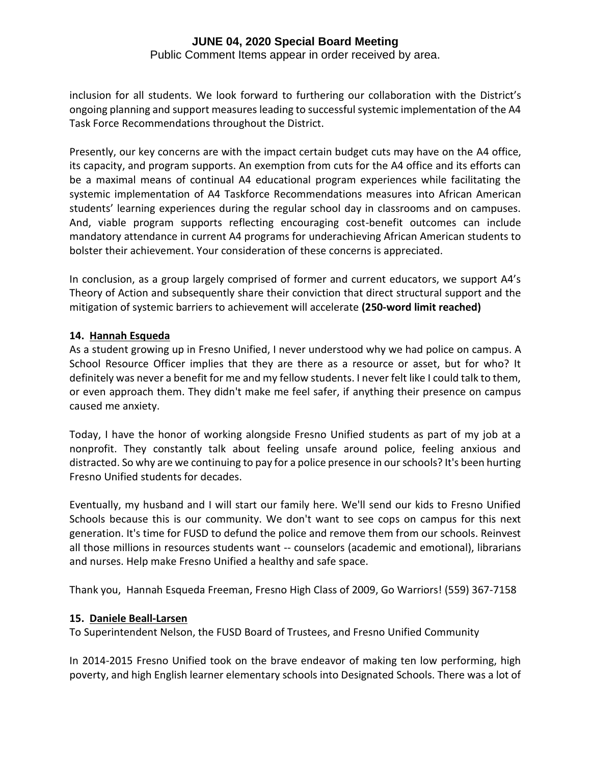Public Comment Items appear in order received by area.

inclusion for all students. We look forward to furthering our collaboration with the District's ongoing planning and support measures leading to successful systemic implementation of the A4 Task Force Recommendations throughout the District.

Presently, our key concerns are with the impact certain budget cuts may have on the A4 office, its capacity, and program supports. An exemption from cuts for the A4 office and its efforts can be a maximal means of continual A4 educational program experiences while facilitating the systemic implementation of A4 Taskforce Recommendations measures into African American students' learning experiences during the regular school day in classrooms and on campuses. And, viable program supports reflecting encouraging cost-benefit outcomes can include mandatory attendance in current A4 programs for underachieving African American students to bolster their achievement. Your consideration of these concerns is appreciated.

In conclusion, as a group largely comprised of former and current educators, we support A4's Theory of Action and subsequently share their conviction that direct structural support and the mitigation of systemic barriers to achievement will accelerate **(250-word limit reached)**

## **14. Hannah Esqueda**

As a student growing up in Fresno Unified, I never understood why we had police on campus. A School Resource Officer implies that they are there as a resource or asset, but for who? It definitely was never a benefit for me and my fellow students. I never felt like I could talk to them, or even approach them. They didn't make me feel safer, if anything their presence on campus caused me anxiety.

Today, I have the honor of working alongside Fresno Unified students as part of my job at a nonprofit. They constantly talk about feeling unsafe around police, feeling anxious and distracted. So why are we continuing to pay for a police presence in our schools? It's been hurting Fresno Unified students for decades.

Eventually, my husband and I will start our family here. We'll send our kids to Fresno Unified Schools because this is our community. We don't want to see cops on campus for this next generation. It's time for FUSD to defund the police and remove them from our schools. Reinvest all those millions in resources students want -- counselors (academic and emotional), librarians and nurses. Help make Fresno Unified a healthy and safe space.

Thank you, Hannah Esqueda Freeman, Fresno High Class of 2009, Go Warriors! (559) 367-7158

# **15. Daniele Beall-Larsen**

To Superintendent Nelson, the FUSD Board of Trustees, and Fresno Unified Community

In 2014-2015 Fresno Unified took on the brave endeavor of making ten low performing, high poverty, and high English learner elementary schools into Designated Schools. There was a lot of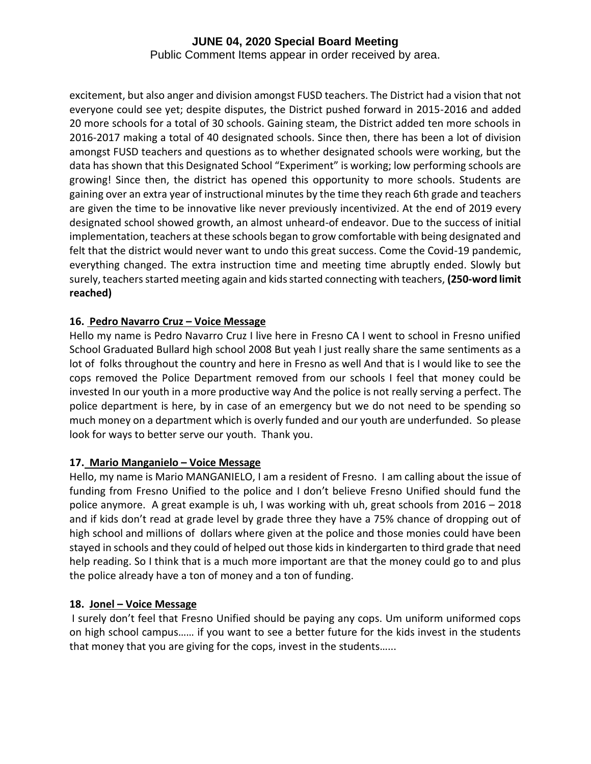Public Comment Items appear in order received by area.

excitement, but also anger and division amongst FUSD teachers. The District had a vision that not everyone could see yet; despite disputes, the District pushed forward in 2015-2016 and added 20 more schools for a total of 30 schools. Gaining steam, the District added ten more schools in 2016-2017 making a total of 40 designated schools. Since then, there has been a lot of division amongst FUSD teachers and questions as to whether designated schools were working, but the data has shown that this Designated School "Experiment" is working; low performing schools are growing! Since then, the district has opened this opportunity to more schools. Students are gaining over an extra year of instructional minutes by the time they reach 6th grade and teachers are given the time to be innovative like never previously incentivized. At the end of 2019 every designated school showed growth, an almost unheard-of endeavor. Due to the success of initial implementation, teachers at these schools began to grow comfortable with being designated and felt that the district would never want to undo this great success. Come the Covid-19 pandemic, everything changed. The extra instruction time and meeting time abruptly ended. Slowly but surely, teachers started meeting again and kids started connecting with teachers, **(250-word limit reached)**

# **16. Pedro Navarro Cruz – Voice Message**

Hello my name is Pedro Navarro Cruz I live here in Fresno CA I went to school in Fresno unified School Graduated Bullard high school 2008 But yeah I just really share the same sentiments as a lot of folks throughout the country and here in Fresno as well And that is I would like to see the cops removed the Police Department removed from our schools I feel that money could be invested In our youth in a more productive way And the police is not really serving a perfect. The police department is here, by in case of an emergency but we do not need to be spending so much money on a department which is overly funded and our youth are underfunded. So please look for ways to better serve our youth. Thank you.

## **17. Mario Manganielo – Voice Message**

Hello, my name is Mario MANGANIELO, I am a resident of Fresno. I am calling about the issue of funding from Fresno Unified to the police and I don't believe Fresno Unified should fund the police anymore. A great example is uh, I was working with uh, great schools from 2016 – 2018 and if kids don't read at grade level by grade three they have a 75% chance of dropping out of high school and millions of dollars where given at the police and those monies could have been stayed in schools and they could of helped out those kids in kindergarten to third grade that need help reading. So I think that is a much more important are that the money could go to and plus the police already have a ton of money and a ton of funding.

# **18. Jonel – Voice Message**

I surely don't feel that Fresno Unified should be paying any cops. Um uniform uniformed cops on high school campus…… if you want to see a better future for the kids invest in the students that money that you are giving for the cops, invest in the students…...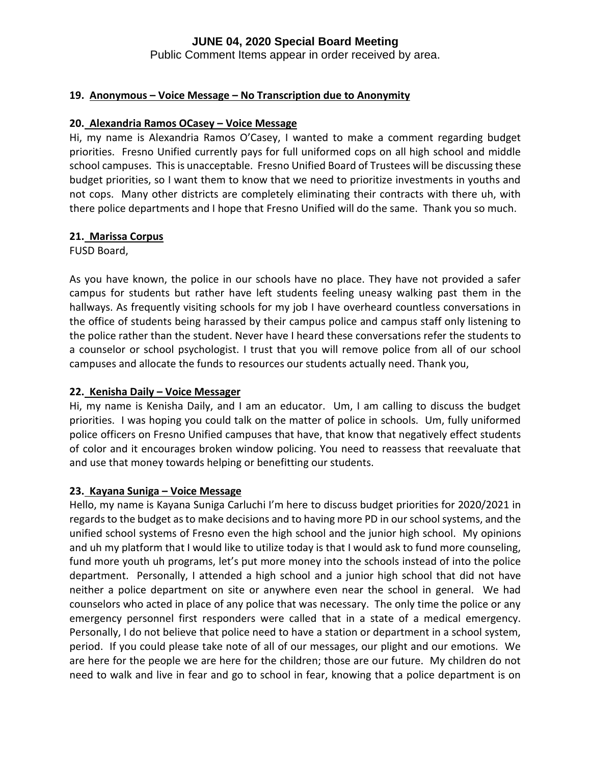Public Comment Items appear in order received by area.

## **19. Anonymous – Voice Message – No Transcription due to Anonymity**

#### **20. Alexandria Ramos OCasey – Voice Message**

Hi, my name is Alexandria Ramos O'Casey, I wanted to make a comment regarding budget priorities. Fresno Unified currently pays for full uniformed cops on all high school and middle school campuses. This is unacceptable. Fresno Unified Board of Trustees will be discussing these budget priorities, so I want them to know that we need to prioritize investments in youths and not cops. Many other districts are completely eliminating their contracts with there uh, with there police departments and I hope that Fresno Unified will do the same. Thank you so much.

## **21. Marissa Corpus**

FUSD Board,

As you have known, the police in our schools have no place. They have not provided a safer campus for students but rather have left students feeling uneasy walking past them in the hallways. As frequently visiting schools for my job I have overheard countless conversations in the office of students being harassed by their campus police and campus staff only listening to the police rather than the student. Never have I heard these conversations refer the students to a counselor or school psychologist. I trust that you will remove police from all of our school campuses and allocate the funds to resources our students actually need. Thank you,

## **22. Kenisha Daily – Voice Messager**

Hi, my name is Kenisha Daily, and I am an educator. Um, I am calling to discuss the budget priorities. I was hoping you could talk on the matter of police in schools. Um, fully uniformed police officers on Fresno Unified campuses that have, that know that negatively effect students of color and it encourages broken window policing. You need to reassess that reevaluate that and use that money towards helping or benefitting our students.

#### **23. Kayana Suniga – Voice Message**

Hello, my name is Kayana Suniga Carluchi I'm here to discuss budget priorities for 2020/2021 in regards to the budget as to make decisions and to having more PD in our school systems, and the unified school systems of Fresno even the high school and the junior high school. My opinions and uh my platform that I would like to utilize today is that I would ask to fund more counseling, fund more youth uh programs, let's put more money into the schools instead of into the police department. Personally, I attended a high school and a junior high school that did not have neither a police department on site or anywhere even near the school in general. We had counselors who acted in place of any police that was necessary. The only time the police or any emergency personnel first responders were called that in a state of a medical emergency. Personally, I do not believe that police need to have a station or department in a school system, period. If you could please take note of all of our messages, our plight and our emotions. We are here for the people we are here for the children; those are our future. My children do not need to walk and live in fear and go to school in fear, knowing that a police department is on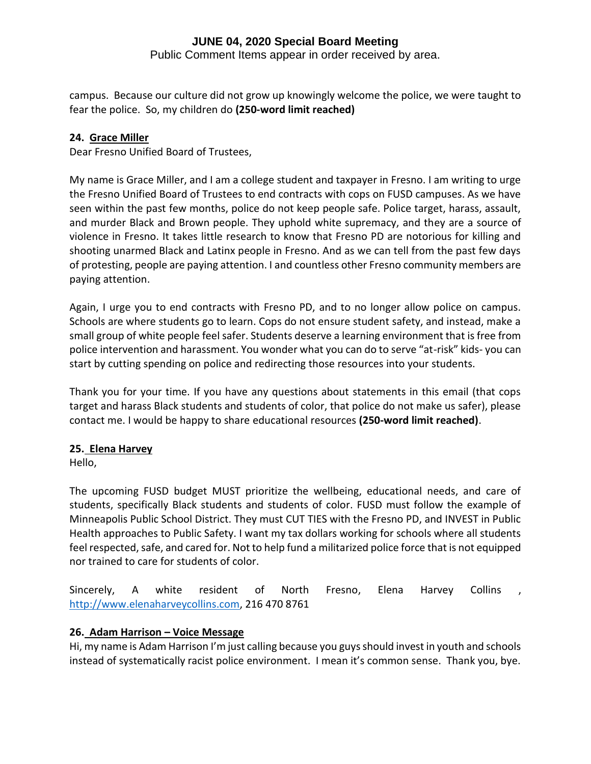Public Comment Items appear in order received by area.

campus. Because our culture did not grow up knowingly welcome the police, we were taught to fear the police. So, my children do **(250-word limit reached)**

# **24. Grace Miller**

Dear Fresno Unified Board of Trustees,

My name is Grace Miller, and I am a college student and taxpayer in Fresno. I am writing to urge the Fresno Unified Board of Trustees to end contracts with cops on FUSD campuses. As we have seen within the past few months, police do not keep people safe. Police target, harass, assault, and murder Black and Brown people. They uphold white supremacy, and they are a source of violence in Fresno. It takes little research to know that Fresno PD are notorious for killing and shooting unarmed Black and Latinx people in Fresno. And as we can tell from the past few days of protesting, people are paying attention. I and countless other Fresno community members are paying attention.

Again, I urge you to end contracts with Fresno PD, and to no longer allow police on campus. Schools are where students go to learn. Cops do not ensure student safety, and instead, make a small group of white people feel safer. Students deserve a learning environment that is free from police intervention and harassment. You wonder what you can do to serve "at-risk" kids- you can start by cutting spending on police and redirecting those resources into your students.

Thank you for your time. If you have any questions about statements in this email (that cops target and harass Black students and students of color, that police do not make us safer), please contact me. I would be happy to share educational resources **(250-word limit reached)**.

# **25. Elena Harvey**

Hello,

The upcoming FUSD budget MUST prioritize the wellbeing, educational needs, and care of students, specifically Black students and students of color. FUSD must follow the example of Minneapolis Public School District. They must CUT TIES with the Fresno PD, and INVEST in Public Health approaches to Public Safety. I want my tax dollars working for schools where all students feel respected, safe, and cared for. Not to help fund a militarized police force that is not equipped nor trained to care for students of color.

Sincerely, A white resident of North Fresno, Elena Harvey Collins , [http://www.elenaharveycollins.com,](http://www.elenaharveycollins.com/) 216 470 8761

# **26. Adam Harrison – Voice Message**

Hi, my name is Adam Harrison I'm just calling because you guys should invest in youth and schools instead of systematically racist police environment. I mean it's common sense. Thank you, bye.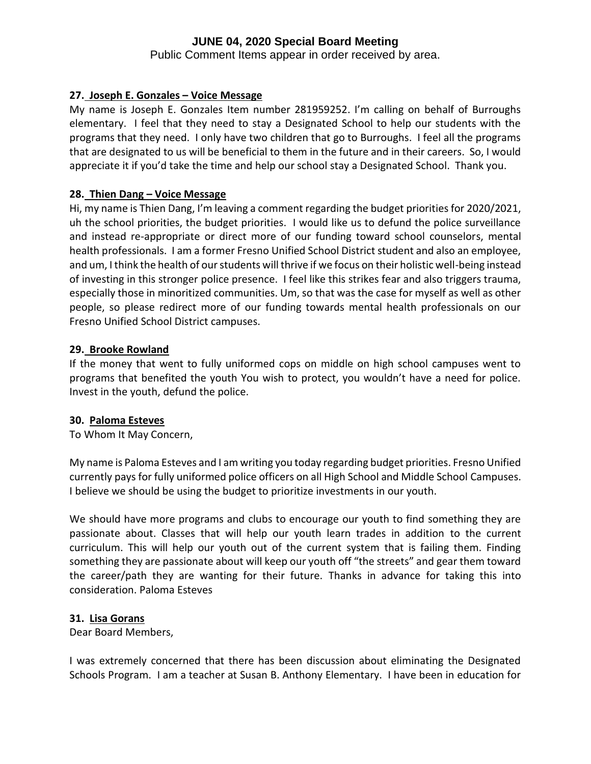Public Comment Items appear in order received by area.

## **27. Joseph E. Gonzales – Voice Message**

My name is Joseph E. Gonzales Item number 281959252. I'm calling on behalf of Burroughs elementary. I feel that they need to stay a Designated School to help our students with the programs that they need. I only have two children that go to Burroughs. I feel all the programs that are designated to us will be beneficial to them in the future and in their careers. So, I would appreciate it if you'd take the time and help our school stay a Designated School. Thank you.

## **28. Thien Dang – Voice Message**

Hi, my name is Thien Dang, I'm leaving a comment regarding the budget priorities for 2020/2021, uh the school priorities, the budget priorities. I would like us to defund the police surveillance and instead re-appropriate or direct more of our funding toward school counselors, mental health professionals. I am a former Fresno Unified School District student and also an employee, and um, I think the health of our students will thrive if we focus on their holistic well-being instead of investing in this stronger police presence. I feel like this strikes fear and also triggers trauma, especially those in minoritized communities. Um, so that was the case for myself as well as other people, so please redirect more of our funding towards mental health professionals on our Fresno Unified School District campuses.

# **29. Brooke Rowland**

If the money that went to fully uniformed cops on middle on high school campuses went to programs that benefited the youth You wish to protect, you wouldn't have a need for police. Invest in the youth, defund the police.

## **30. Paloma Esteves**

To Whom It May Concern,

My name is Paloma Esteves and I am writing you today regarding budget priorities. Fresno Unified currently pays for fully uniformed police officers on all High School and Middle School Campuses. I believe we should be using the budget to prioritize investments in our youth.

We should have more programs and clubs to encourage our youth to find something they are passionate about. Classes that will help our youth learn trades in addition to the current curriculum. This will help our youth out of the current system that is failing them. Finding something they are passionate about will keep our youth off "the streets" and gear them toward the career/path they are wanting for their future. Thanks in advance for taking this into consideration. Paloma Esteves

## **31. Lisa Gorans**

Dear Board Members,

I was extremely concerned that there has been discussion about eliminating the Designated Schools Program. I am a teacher at Susan B. Anthony Elementary. I have been in education for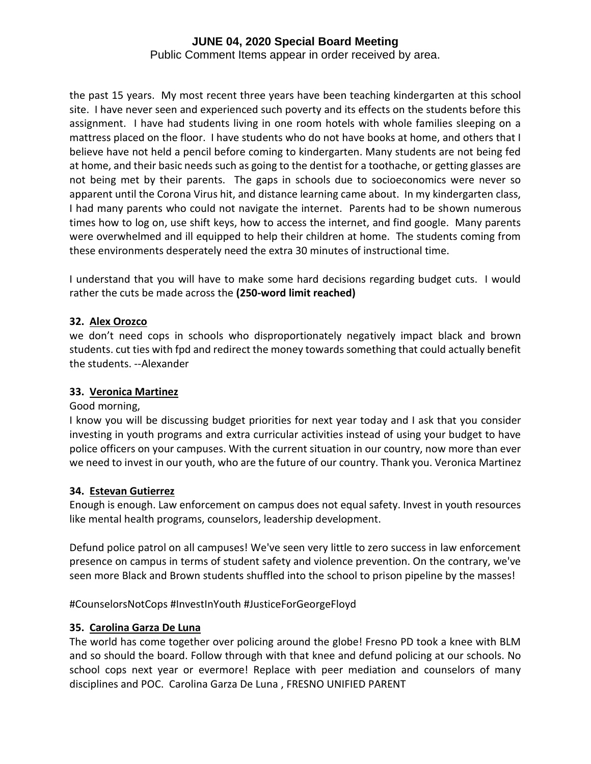Public Comment Items appear in order received by area.

the past 15 years. My most recent three years have been teaching kindergarten at this school site. I have never seen and experienced such poverty and its effects on the students before this assignment. I have had students living in one room hotels with whole families sleeping on a mattress placed on the floor. I have students who do not have books at home, and others that I believe have not held a pencil before coming to kindergarten. Many students are not being fed at home, and their basic needs such as going to the dentist for a toothache, or getting glasses are not being met by their parents. The gaps in schools due to socioeconomics were never so apparent until the Corona Virus hit, and distance learning came about. In my kindergarten class, I had many parents who could not navigate the internet. Parents had to be shown numerous times how to log on, use shift keys, how to access the internet, and find google. Many parents were overwhelmed and ill equipped to help their children at home. The students coming from these environments desperately need the extra 30 minutes of instructional time.

I understand that you will have to make some hard decisions regarding budget cuts. I would rather the cuts be made across the **(250-word limit reached)**

# **32. Alex Orozco**

we don't need cops in schools who disproportionately negatively impact black and brown students. cut ties with fpd and redirect the money towards something that could actually benefit the students. --Alexander

## **33. Veronica Martinez**

## Good morning,

I know you will be discussing budget priorities for next year today and I ask that you consider investing in youth programs and extra curricular activities instead of using your budget to have police officers on your campuses. With the current situation in our country, now more than ever we need to invest in our youth, who are the future of our country. Thank you. Veronica Martinez

## **34. Estevan Gutierrez**

Enough is enough. Law enforcement on campus does not equal safety. Invest in youth resources like mental health programs, counselors, leadership development.

Defund police patrol on all campuses! We've seen very little to zero success in law enforcement presence on campus in terms of student safety and violence prevention. On the contrary, we've seen more Black and Brown students shuffled into the school to prison pipeline by the masses!

#CounselorsNotCops #InvestInYouth #JusticeForGeorgeFloyd

## **35. Carolina Garza De Luna**

The world has come together over policing around the globe! Fresno PD took a knee with BLM and so should the board. Follow through with that knee and defund policing at our schools. No school cops next year or evermore! Replace with peer mediation and counselors of many disciplines and POC. Carolina Garza De Luna , FRESNO UNIFIED PARENT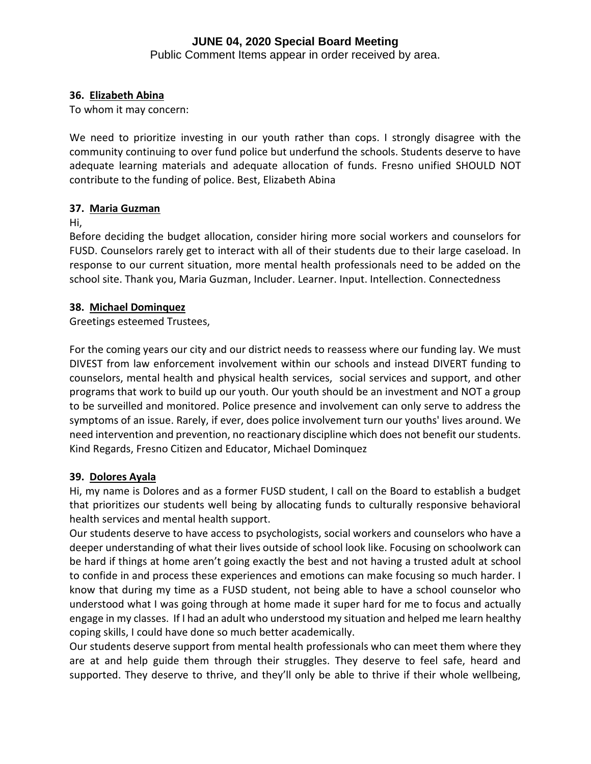Public Comment Items appear in order received by area.

# **36. Elizabeth Abina**

To whom it may concern:

We need to prioritize investing in our youth rather than cops. I strongly disagree with the community continuing to over fund police but underfund the schools. Students deserve to have adequate learning materials and adequate allocation of funds. Fresno unified SHOULD NOT contribute to the funding of police. Best, Elizabeth Abina

## **37. Maria Guzman**

Hi,

Before deciding the budget allocation, consider hiring more social workers and counselors for FUSD. Counselors rarely get to interact with all of their students due to their large caseload. In response to our current situation, more mental health professionals need to be added on the school site. Thank you, Maria Guzman, Includer. Learner. Input. Intellection. Connectedness

# **38. Michael Dominquez**

Greetings esteemed Trustees,

For the coming years our city and our district needs to reassess where our funding lay. We must DIVEST from law enforcement involvement within our schools and instead DIVERT funding to counselors, mental health and physical health services, social services and support, and other programs that work to build up our youth. Our youth should be an investment and NOT a group to be surveilled and monitored. Police presence and involvement can only serve to address the symptoms of an issue. Rarely, if ever, does police involvement turn our youths' lives around. We need intervention and prevention, no reactionary discipline which does not benefit our students. Kind Regards, Fresno Citizen and Educator, Michael Dominquez

## **39. Dolores Ayala**

Hi, my name is Dolores and as a former FUSD student, I call on the Board to establish a budget that prioritizes our students well being by allocating funds to culturally responsive behavioral health services and mental health support.

Our students deserve to have access to psychologists, social workers and counselors who have a deeper understanding of what their lives outside of school look like. Focusing on schoolwork can be hard if things at home aren't going exactly the best and not having a trusted adult at school to confide in and process these experiences and emotions can make focusing so much harder. I know that during my time as a FUSD student, not being able to have a school counselor who understood what I was going through at home made it super hard for me to focus and actually engage in my classes. If I had an adult who understood my situation and helped me learn healthy coping skills, I could have done so much better academically.

Our students deserve support from mental health professionals who can meet them where they are at and help guide them through their struggles. They deserve to feel safe, heard and supported. They deserve to thrive, and they'll only be able to thrive if their whole wellbeing,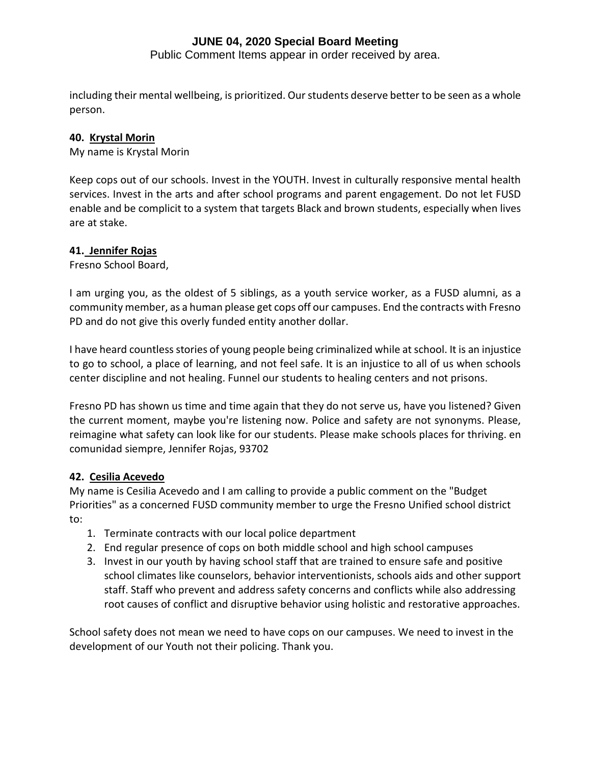Public Comment Items appear in order received by area.

including their mental wellbeing, is prioritized. Our students deserve better to be seen as a whole person.

## **40. Krystal Morin**

My name is Krystal Morin

Keep cops out of our schools. Invest in the YOUTH. Invest in culturally responsive mental health services. Invest in the arts and after school programs and parent engagement. Do not let FUSD enable and be complicit to a system that targets Black and brown students, especially when lives are at stake.

## **41. Jennifer Rojas**

Fresno School Board,

I am urging you, as the oldest of 5 siblings, as a youth service worker, as a FUSD alumni, as a community member, as a human please get cops off our campuses. End the contracts with Fresno PD and do not give this overly funded entity another dollar.

I have heard countless stories of young people being criminalized while at school. It is an injustice to go to school, a place of learning, and not feel safe. It is an injustice to all of us when schools center discipline and not healing. Funnel our students to healing centers and not prisons.

Fresno PD has shown us time and time again that they do not serve us, have you listened? Given the current moment, maybe you're listening now. Police and safety are not synonyms. Please, reimagine what safety can look like for our students. Please make schools places for thriving. en comunidad siempre, Jennifer Rojas, 93702

# **42. Cesilia Acevedo**

My name is Cesilia Acevedo and I am calling to provide a public comment on the "Budget Priorities" as a concerned FUSD community member to urge the Fresno Unified school district to:

- 1. Terminate contracts with our local police department
- 2. End regular presence of cops on both middle school and high school campuses
- 3. Invest in our youth by having school staff that are trained to ensure safe and positive school climates like counselors, behavior interventionists, schools aids and other support staff. Staff who prevent and address safety concerns and conflicts while also addressing root causes of conflict and disruptive behavior using holistic and restorative approaches.

School safety does not mean we need to have cops on our campuses. We need to invest in the development of our Youth not their policing. Thank you.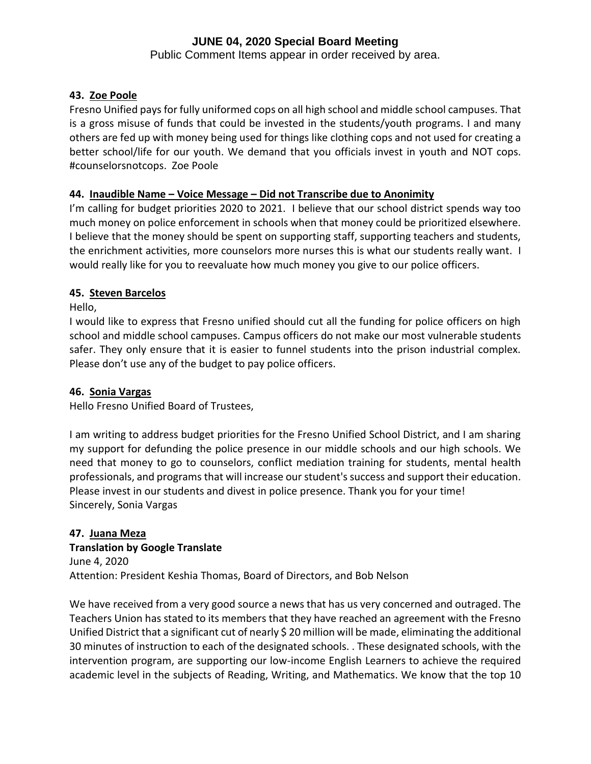Public Comment Items appear in order received by area.

# **43. Zoe Poole**

Fresno Unified pays for fully uniformed cops on all high school and middle school campuses. That is a gross misuse of funds that could be invested in the students/youth programs. I and many others are fed up with money being used for things like clothing cops and not used for creating a better school/life for our youth. We demand that you officials invest in youth and NOT cops. #counselorsnotcops. Zoe Poole

# **44. Inaudible Name – Voice Message – Did not Transcribe due to Anonimity**

I'm calling for budget priorities 2020 to 2021. I believe that our school district spends way too much money on police enforcement in schools when that money could be prioritized elsewhere. I believe that the money should be spent on supporting staff, supporting teachers and students, the enrichment activities, more counselors more nurses this is what our students really want. I would really like for you to reevaluate how much money you give to our police officers.

# **45. Steven Barcelos**

Hello,

I would like to express that Fresno unified should cut all the funding for police officers on high school and middle school campuses. Campus officers do not make our most vulnerable students safer. They only ensure that it is easier to funnel students into the prison industrial complex. Please don't use any of the budget to pay police officers.

# **46. Sonia Vargas**

Hello Fresno Unified Board of Trustees,

I am writing to address budget priorities for the Fresno Unified School District, and I am sharing my support for defunding the police presence in our middle schools and our high schools. We need that money to go to counselors, conflict mediation training for students, mental health professionals, and programs that will increase our student's success and support their education. Please invest in our students and divest in police presence. Thank you for your time! Sincerely, Sonia Vargas

# **47. Juana Meza**

# **Translation by Google Translate**

June 4, 2020 Attention: President Keshia Thomas, Board of Directors, and Bob Nelson

We have received from a very good source a news that has us very concerned and outraged. The Teachers Union has stated to its members that they have reached an agreement with the Fresno Unified District that a significant cut of nearly \$ 20 million will be made, eliminating the additional 30 minutes of instruction to each of the designated schools. . These designated schools, with the intervention program, are supporting our low-income English Learners to achieve the required academic level in the subjects of Reading, Writing, and Mathematics. We know that the top 10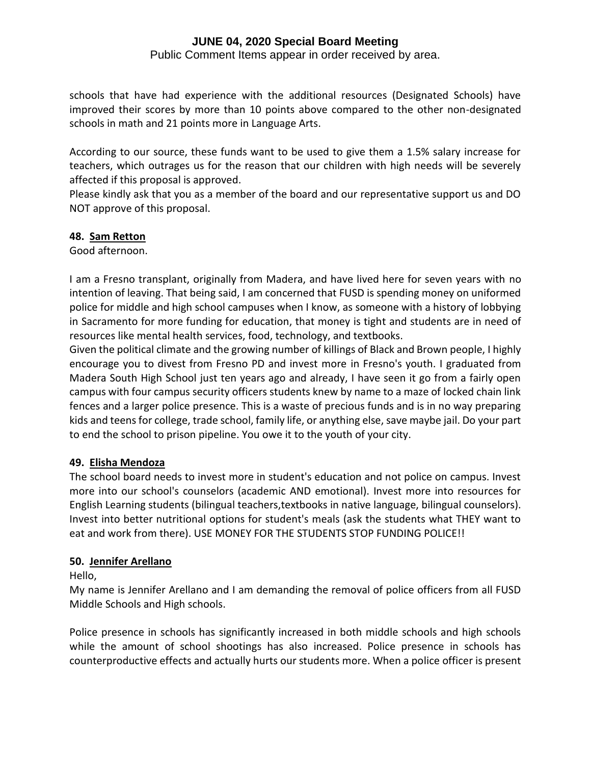Public Comment Items appear in order received by area.

schools that have had experience with the additional resources (Designated Schools) have improved their scores by more than 10 points above compared to the other non-designated schools in math and 21 points more in Language Arts.

According to our source, these funds want to be used to give them a 1.5% salary increase for teachers, which outrages us for the reason that our children with high needs will be severely affected if this proposal is approved.

Please kindly ask that you as a member of the board and our representative support us and DO NOT approve of this proposal.

# **48. Sam Retton**

Good afternoon.

I am a Fresno transplant, originally from Madera, and have lived here for seven years with no intention of leaving. That being said, I am concerned that FUSD is spending money on uniformed police for middle and high school campuses when I know, as someone with a history of lobbying in Sacramento for more funding for education, that money is tight and students are in need of resources like mental health services, food, technology, and textbooks.

Given the political climate and the growing number of killings of Black and Brown people, I highly encourage you to divest from Fresno PD and invest more in Fresno's youth. I graduated from Madera South High School just ten years ago and already, I have seen it go from a fairly open campus with four campus security officers students knew by name to a maze of locked chain link fences and a larger police presence. This is a waste of precious funds and is in no way preparing kids and teens for college, trade school, family life, or anything else, save maybe jail. Do your part to end the school to prison pipeline. You owe it to the youth of your city.

## **49. Elisha Mendoza**

The school board needs to invest more in student's education and not police on campus. Invest more into our school's counselors (academic AND emotional). Invest more into resources for English Learning students (bilingual teachers,textbooks in native language, bilingual counselors). Invest into better nutritional options for student's meals (ask the students what THEY want to eat and work from there). USE MONEY FOR THE STUDENTS STOP FUNDING POLICE!!

## **50. Jennifer Arellano**

Hello,

My name is Jennifer Arellano and I am demanding the removal of police officers from all FUSD Middle Schools and High schools.

Police presence in schools has significantly increased in both middle schools and high schools while the amount of school shootings has also increased. Police presence in schools has counterproductive effects and actually hurts our students more. When a police officer is present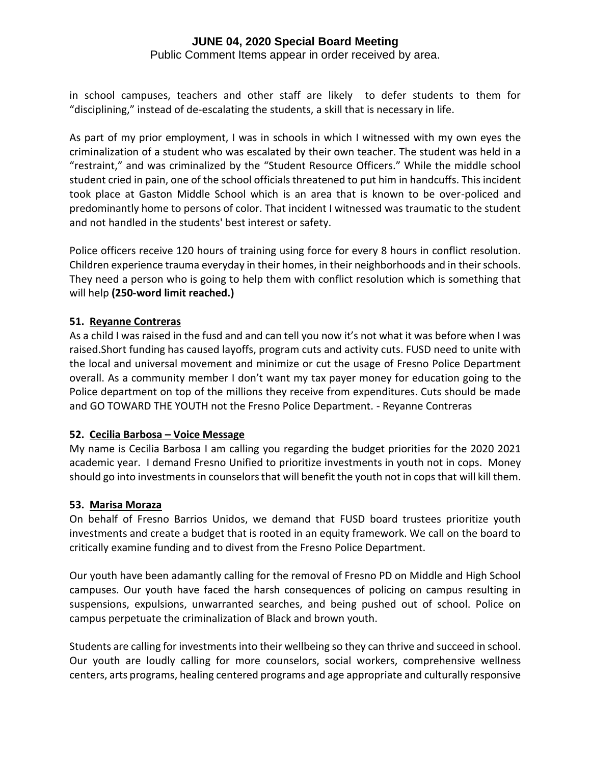Public Comment Items appear in order received by area.

in school campuses, teachers and other staff are likely to defer students to them for "disciplining," instead of de-escalating the students, a skill that is necessary in life.

As part of my prior employment, I was in schools in which I witnessed with my own eyes the criminalization of a student who was escalated by their own teacher. The student was held in a "restraint," and was criminalized by the "Student Resource Officers." While the middle school student cried in pain, one of the school officials threatened to put him in handcuffs. This incident took place at Gaston Middle School which is an area that is known to be over-policed and predominantly home to persons of color. That incident I witnessed was traumatic to the student and not handled in the students' best interest or safety.

Police officers receive 120 hours of training using force for every 8 hours in conflict resolution. Children experience trauma everyday in their homes, in their neighborhoods and in their schools. They need a person who is going to help them with conflict resolution which is something that will help **(250-word limit reached.)**

# **51. Reyanne Contreras**

As a child I was raised in the fusd and and can tell you now it's not what it was before when I was raised.Short funding has caused layoffs, program cuts and activity cuts. FUSD need to unite with the local and universal movement and minimize or cut the usage of Fresno Police Department overall. As a community member I don't want my tax payer money for education going to the Police department on top of the millions they receive from expenditures. Cuts should be made and GO TOWARD THE YOUTH not the Fresno Police Department. - Reyanne Contreras

## **52. Cecilia Barbosa – Voice Message**

My name is Cecilia Barbosa I am calling you regarding the budget priorities for the 2020 2021 academic year. I demand Fresno Unified to prioritize investments in youth not in cops. Money should go into investments in counselors that will benefit the youth not in cops that will kill them.

## **53. Marisa Moraza**

On behalf of Fresno Barrios Unidos, we demand that FUSD board trustees prioritize youth investments and create a budget that is rooted in an equity framework. We call on the board to critically examine funding and to divest from the Fresno Police Department.

Our youth have been adamantly calling for the removal of Fresno PD on Middle and High School campuses. Our youth have faced the harsh consequences of policing on campus resulting in suspensions, expulsions, unwarranted searches, and being pushed out of school. Police on campus perpetuate the criminalization of Black and brown youth.

Students are calling for investments into their wellbeing so they can thrive and succeed in school. Our youth are loudly calling for more counselors, social workers, comprehensive wellness centers, arts programs, healing centered programs and age appropriate and culturally responsive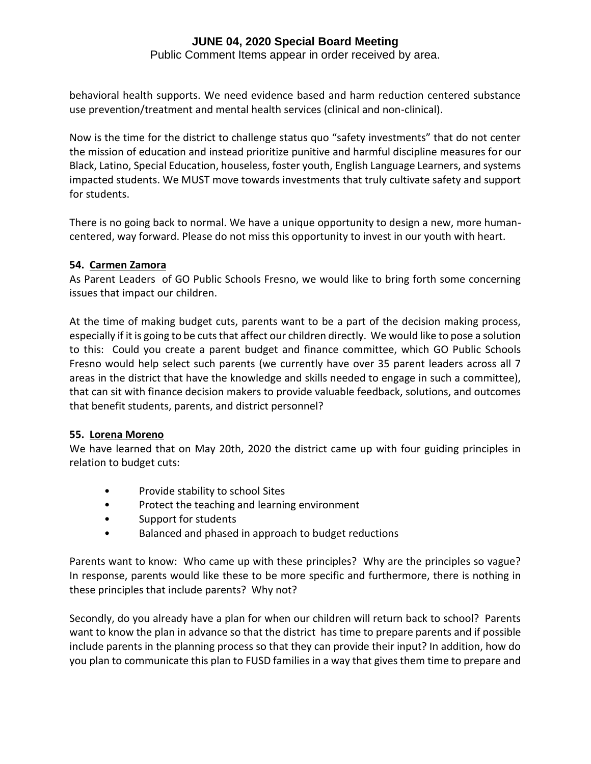Public Comment Items appear in order received by area.

behavioral health supports. We need evidence based and harm reduction centered substance use prevention/treatment and mental health services (clinical and non-clinical).

Now is the time for the district to challenge status quo "safety investments" that do not center the mission of education and instead prioritize punitive and harmful discipline measures for our Black, Latino, Special Education, houseless, foster youth, English Language Learners, and systems impacted students. We MUST move towards investments that truly cultivate safety and support for students.

There is no going back to normal. We have a unique opportunity to design a new, more humancentered, way forward. Please do not miss this opportunity to invest in our youth with heart.

## **54. Carmen Zamora**

As Parent Leaders of GO Public Schools Fresno, we would like to bring forth some concerning issues that impact our children.

At the time of making budget cuts, parents want to be a part of the decision making process, especially if it is going to be cuts that affect our children directly. We would like to pose a solution to this: Could you create a parent budget and finance committee, which GO Public Schools Fresno would help select such parents (we currently have over 35 parent leaders across all 7 areas in the district that have the knowledge and skills needed to engage in such a committee), that can sit with finance decision makers to provide valuable feedback, solutions, and outcomes that benefit students, parents, and district personnel?

## **55. Lorena Moreno**

We have learned that on May 20th, 2020 the district came up with four guiding principles in relation to budget cuts:

- Provide stability to school Sites
- Protect the teaching and learning environment
- Support for students
- Balanced and phased in approach to budget reductions

Parents want to know: Who came up with these principles? Why are the principles so vague? In response, parents would like these to be more specific and furthermore, there is nothing in these principles that include parents? Why not?

Secondly, do you already have a plan for when our children will return back to school? Parents want to know the plan in advance so that the district has time to prepare parents and if possible include parents in the planning process so that they can provide their input? In addition, how do you plan to communicate this plan to FUSD families in a way that gives them time to prepare and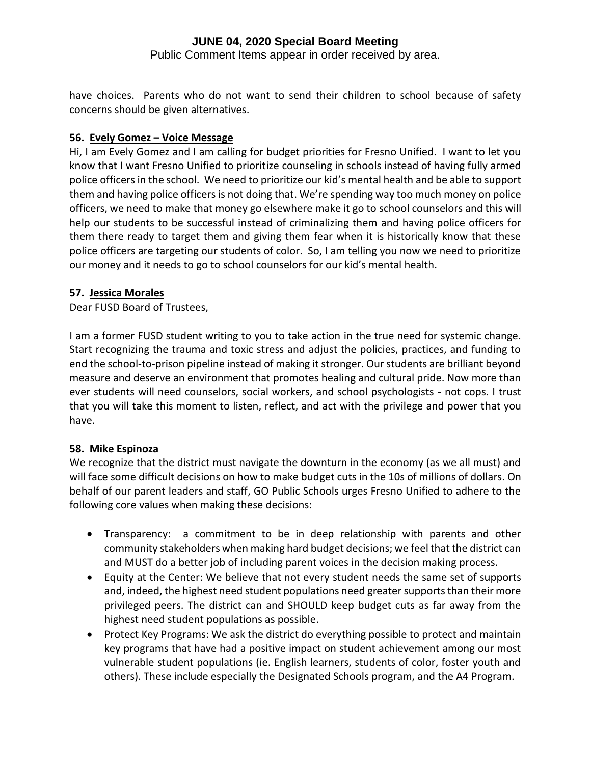Public Comment Items appear in order received by area.

have choices. Parents who do not want to send their children to school because of safety concerns should be given alternatives.

## **56. Evely Gomez – Voice Message**

Hi, I am Evely Gomez and I am calling for budget priorities for Fresno Unified. I want to let you know that I want Fresno Unified to prioritize counseling in schools instead of having fully armed police officers in the school. We need to prioritize our kid's mental health and be able to support them and having police officers is not doing that. We're spending way too much money on police officers, we need to make that money go elsewhere make it go to school counselors and this will help our students to be successful instead of criminalizing them and having police officers for them there ready to target them and giving them fear when it is historically know that these police officers are targeting our students of color. So, I am telling you now we need to prioritize our money and it needs to go to school counselors for our kid's mental health.

## **57. Jessica Morales**

Dear FUSD Board of Trustees,

I am a former FUSD student writing to you to take action in the true need for systemic change. Start recognizing the trauma and toxic stress and adjust the policies, practices, and funding to end the school-to-prison pipeline instead of making it stronger. Our students are brilliant beyond measure and deserve an environment that promotes healing and cultural pride. Now more than ever students will need counselors, social workers, and school psychologists - not cops. I trust that you will take this moment to listen, reflect, and act with the privilege and power that you have.

# **58. Mike Espinoza**

We recognize that the district must navigate the downturn in the economy (as we all must) and will face some difficult decisions on how to make budget cuts in the 10s of millions of dollars. On behalf of our parent leaders and staff, GO Public Schools urges Fresno Unified to adhere to the following core values when making these decisions:

- Transparency: a commitment to be in deep relationship with parents and other community stakeholders when making hard budget decisions; we feel that the district can and MUST do a better job of including parent voices in the decision making process.
- Equity at the Center: We believe that not every student needs the same set of supports and, indeed, the highest need student populations need greater supports than their more privileged peers. The district can and SHOULD keep budget cuts as far away from the highest need student populations as possible.
- Protect Key Programs: We ask the district do everything possible to protect and maintain key programs that have had a positive impact on student achievement among our most vulnerable student populations (ie. English learners, students of color, foster youth and others). These include especially the Designated Schools program, and the A4 Program.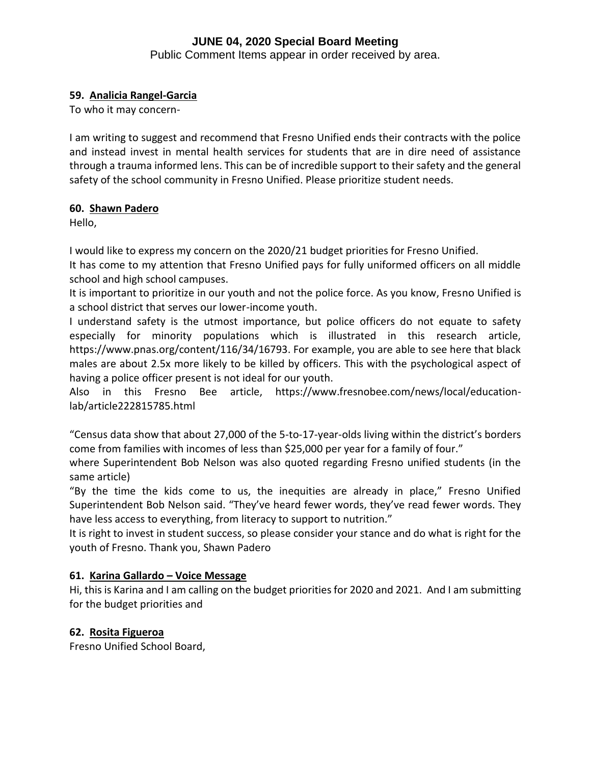Public Comment Items appear in order received by area.

# **59. Analicia Rangel-Garcia**

To who it may concern-

I am writing to suggest and recommend that Fresno Unified ends their contracts with the police and instead invest in mental health services for students that are in dire need of assistance through a trauma informed lens. This can be of incredible support to their safety and the general safety of the school community in Fresno Unified. Please prioritize student needs.

## **60. Shawn Padero**

Hello,

I would like to express my concern on the 2020/21 budget priorities for Fresno Unified.

It has come to my attention that Fresno Unified pays for fully uniformed officers on all middle school and high school campuses.

It is important to prioritize in our youth and not the police force. As you know, Fresno Unified is a school district that serves our lower-income youth.

I understand safety is the utmost importance, but police officers do not equate to safety especially for minority populations which is illustrated in this research article, https://www.pnas.org/content/116/34/16793. For example, you are able to see here that black males are about 2.5x more likely to be killed by officers. This with the psychological aspect of having a police officer present is not ideal for our youth.

Also in this Fresno Bee article, https://www.fresnobee.com/news/local/educationlab/article222815785.html

"Census data show that about 27,000 of the 5-to-17-year-olds living within the district's borders come from families with incomes of less than \$25,000 per year for a family of four."

where Superintendent Bob Nelson was also quoted regarding Fresno unified students (in the same article)

"By the time the kids come to us, the inequities are already in place," Fresno Unified Superintendent Bob Nelson said. "They've heard fewer words, they've read fewer words. They have less access to everything, from literacy to support to nutrition."

It is right to invest in student success, so please consider your stance and do what is right for the youth of Fresno. Thank you, Shawn Padero

# **61. Karina Gallardo – Voice Message**

Hi, this is Karina and I am calling on the budget priorities for 2020 and 2021. And I am submitting for the budget priorities and

# **62. Rosita Figueroa**

Fresno Unified School Board,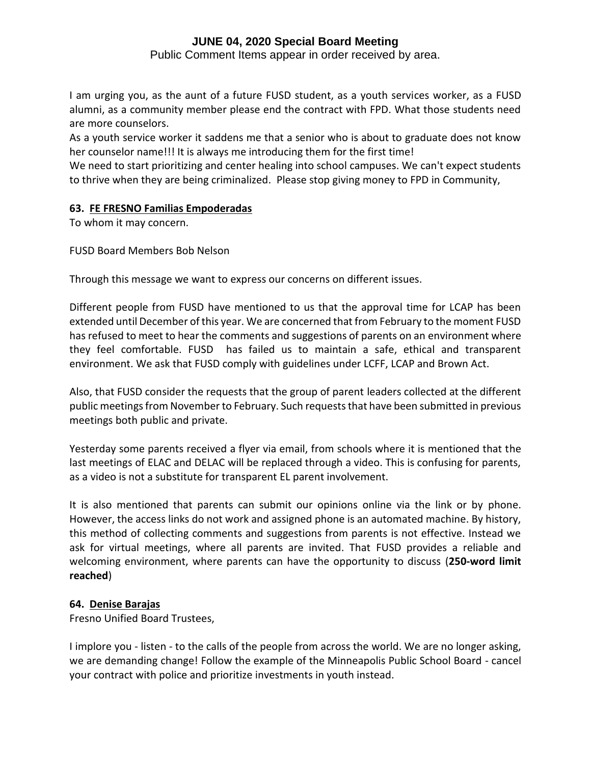Public Comment Items appear in order received by area.

I am urging you, as the aunt of a future FUSD student, as a youth services worker, as a FUSD alumni, as a community member please end the contract with FPD. What those students need are more counselors.

As a youth service worker it saddens me that a senior who is about to graduate does not know her counselor name!!! It is always me introducing them for the first time!

We need to start prioritizing and center healing into school campuses. We can't expect students to thrive when they are being criminalized. Please stop giving money to FPD in Community,

# **63. FE FRESNO Familias Empoderadas**

To whom it may concern.

FUSD Board Members Bob Nelson

Through this message we want to express our concerns on different issues.

Different people from FUSD have mentioned to us that the approval time for LCAP has been extended until December of this year. We are concerned that from February to the moment FUSD has refused to meet to hear the comments and suggestions of parents on an environment where they feel comfortable. FUSD has failed us to maintain a safe, ethical and transparent environment. We ask that FUSD comply with guidelines under LCFF, LCAP and Brown Act.

Also, that FUSD consider the requests that the group of parent leaders collected at the different public meetings from November to February. Such requests that have been submitted in previous meetings both public and private.

Yesterday some parents received a flyer via email, from schools where it is mentioned that the last meetings of ELAC and DELAC will be replaced through a video. This is confusing for parents, as a video is not a substitute for transparent EL parent involvement.

It is also mentioned that parents can submit our opinions online via the link or by phone. However, the access links do not work and assigned phone is an automated machine. By history, this method of collecting comments and suggestions from parents is not effective. Instead we ask for virtual meetings, where all parents are invited. That FUSD provides a reliable and welcoming environment, where parents can have the opportunity to discuss (**250-word limit reached**)

## **64. Denise Barajas**

Fresno Unified Board Trustees,

I implore you - listen - to the calls of the people from across the world. We are no longer asking, we are demanding change! Follow the example of the Minneapolis Public School Board - cancel your contract with police and prioritize investments in youth instead.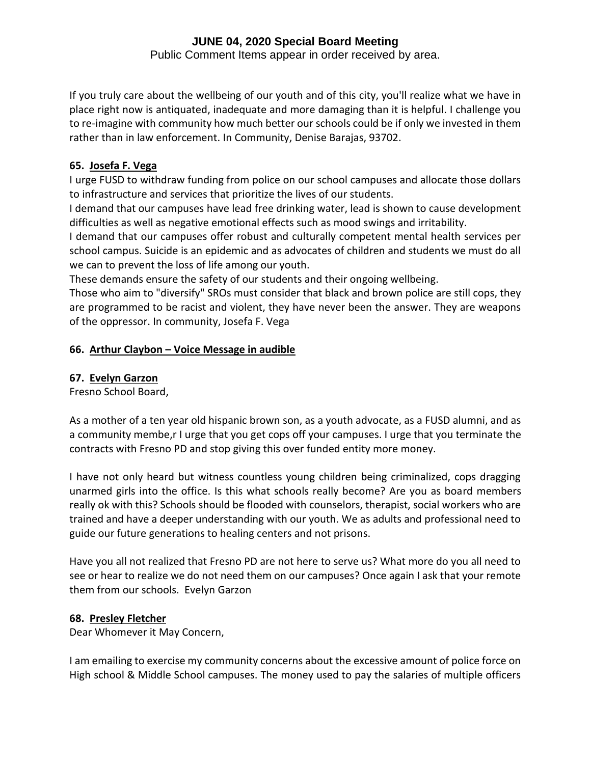Public Comment Items appear in order received by area.

If you truly care about the wellbeing of our youth and of this city, you'll realize what we have in place right now is antiquated, inadequate and more damaging than it is helpful. I challenge you to re-imagine with community how much better our schools could be if only we invested in them rather than in law enforcement. In Community, Denise Barajas, 93702.

# **65. Josefa F. Vega**

I urge FUSD to withdraw funding from police on our school campuses and allocate those dollars to infrastructure and services that prioritize the lives of our students.

I demand that our campuses have lead free drinking water, lead is shown to cause development difficulties as well as negative emotional effects such as mood swings and irritability.

I demand that our campuses offer robust and culturally competent mental health services per school campus. Suicide is an epidemic and as advocates of children and students we must do all we can to prevent the loss of life among our youth.

These demands ensure the safety of our students and their ongoing wellbeing.

Those who aim to "diversify" SROs must consider that black and brown police are still cops, they are programmed to be racist and violent, they have never been the answer. They are weapons of the oppressor. In community, Josefa F. Vega

# **66. Arthur Claybon – Voice Message in audible**

# **67. Evelyn Garzon**

Fresno School Board,

As a mother of a ten year old hispanic brown son, as a youth advocate, as a FUSD alumni, and as a community membe,r I urge that you get cops off your campuses. I urge that you terminate the contracts with Fresno PD and stop giving this over funded entity more money.

I have not only heard but witness countless young children being criminalized, cops dragging unarmed girls into the office. Is this what schools really become? Are you as board members really ok with this? Schools should be flooded with counselors, therapist, social workers who are trained and have a deeper understanding with our youth. We as adults and professional need to guide our future generations to healing centers and not prisons.

Have you all not realized that Fresno PD are not here to serve us? What more do you all need to see or hear to realize we do not need them on our campuses? Once again I ask that your remote them from our schools. Evelyn Garzon

# **68. Presley Fletcher**

Dear Whomever it May Concern,

I am emailing to exercise my community concerns about the excessive amount of police force on High school & Middle School campuses. The money used to pay the salaries of multiple officers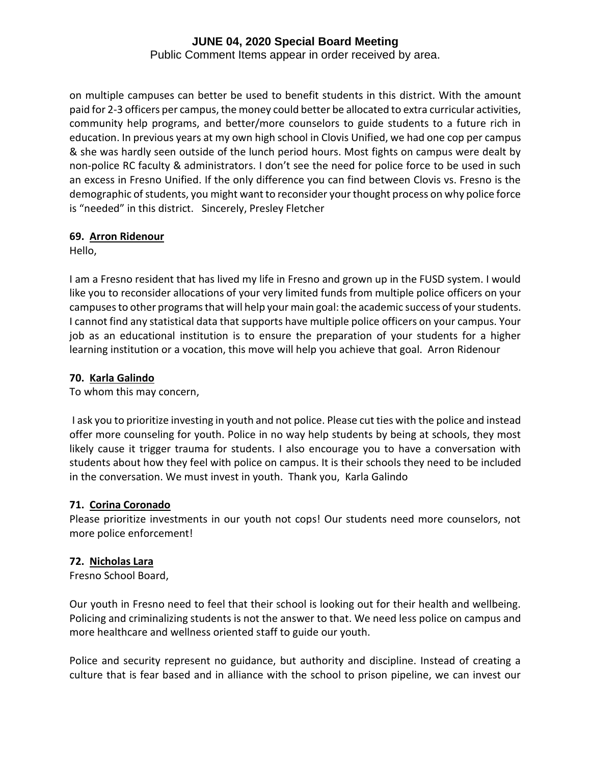Public Comment Items appear in order received by area.

on multiple campuses can better be used to benefit students in this district. With the amount paid for 2-3 officers per campus, the money could better be allocated to extra curricular activities, community help programs, and better/more counselors to guide students to a future rich in education. In previous years at my own high school in Clovis Unified, we had one cop per campus & she was hardly seen outside of the lunch period hours. Most fights on campus were dealt by non-police RC faculty & administrators. I don't see the need for police force to be used in such an excess in Fresno Unified. If the only difference you can find between Clovis vs. Fresno is the demographic of students, you might want to reconsider your thought process on why police force is "needed" in this district. Sincerely, Presley Fletcher

## **69. Arron Ridenour**

Hello,

I am a Fresno resident that has lived my life in Fresno and grown up in the FUSD system. I would like you to reconsider allocations of your very limited funds from multiple police officers on your campuses to other programs that will help your main goal: the academic success of your students. I cannot find any statistical data that supports have multiple police officers on your campus. Your job as an educational institution is to ensure the preparation of your students for a higher learning institution or a vocation, this move will help you achieve that goal. Arron Ridenour

## **70. Karla Galindo**

To whom this may concern,

I ask you to prioritize investing in youth and not police. Please cut ties with the police and instead offer more counseling for youth. Police in no way help students by being at schools, they most likely cause it trigger trauma for students. I also encourage you to have a conversation with students about how they feel with police on campus. It is their schools they need to be included in the conversation. We must invest in youth. Thank you, Karla Galindo

## **71. Corina Coronado**

Please prioritize investments in our youth not cops! Our students need more counselors, not more police enforcement!

# **72. Nicholas Lara**

Fresno School Board,

Our youth in Fresno need to feel that their school is looking out for their health and wellbeing. Policing and criminalizing students is not the answer to that. We need less police on campus and more healthcare and wellness oriented staff to guide our youth.

Police and security represent no guidance, but authority and discipline. Instead of creating a culture that is fear based and in alliance with the school to prison pipeline, we can invest our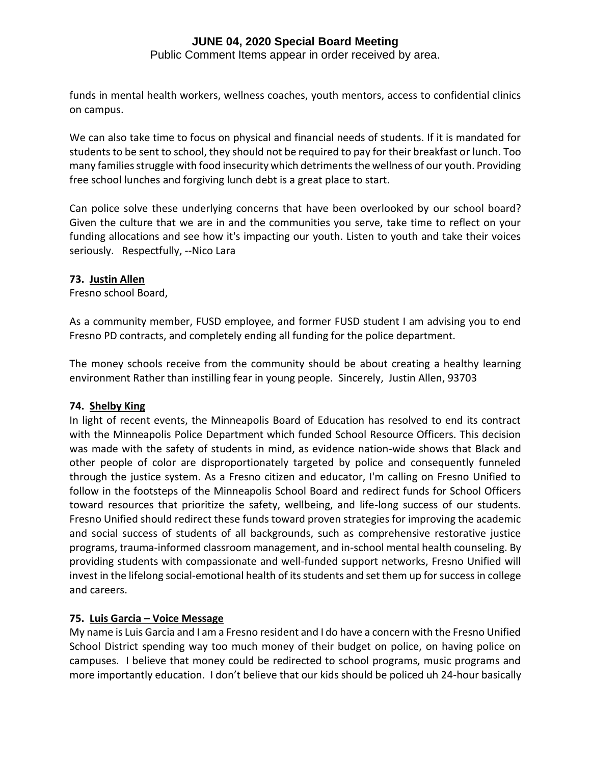Public Comment Items appear in order received by area.

funds in mental health workers, wellness coaches, youth mentors, access to confidential clinics on campus.

We can also take time to focus on physical and financial needs of students. If it is mandated for students to be sent to school, they should not be required to pay for their breakfast or lunch. Too many families struggle with food insecurity which detriments the wellness of our youth. Providing free school lunches and forgiving lunch debt is a great place to start.

Can police solve these underlying concerns that have been overlooked by our school board? Given the culture that we are in and the communities you serve, take time to reflect on your funding allocations and see how it's impacting our youth. Listen to youth and take their voices seriously. Respectfully, --Nico Lara

#### **73. Justin Allen**

Fresno school Board,

As a community member, FUSD employee, and former FUSD student I am advising you to end Fresno PD contracts, and completely ending all funding for the police department.

The money schools receive from the community should be about creating a healthy learning environment Rather than instilling fear in young people. Sincerely, Justin Allen, 93703

## **74. Shelby King**

In light of recent events, the Minneapolis Board of Education has resolved to end its contract with the Minneapolis Police Department which funded School Resource Officers. This decision was made with the safety of students in mind, as evidence nation-wide shows that Black and other people of color are disproportionately targeted by police and consequently funneled through the justice system. As a Fresno citizen and educator, I'm calling on Fresno Unified to follow in the footsteps of the Minneapolis School Board and redirect funds for School Officers toward resources that prioritize the safety, wellbeing, and life-long success of our students. Fresno Unified should redirect these funds toward proven strategies for improving the academic and social success of students of all backgrounds, such as comprehensive restorative justice programs, trauma-informed classroom management, and in-school mental health counseling. By providing students with compassionate and well-funded support networks, Fresno Unified will invest in the lifelong social-emotional health of its students and set them up for success in college and careers.

## **75. Luis Garcia – Voice Message**

My name is Luis Garcia and I am a Fresno resident and I do have a concern with the Fresno Unified School District spending way too much money of their budget on police, on having police on campuses. I believe that money could be redirected to school programs, music programs and more importantly education. I don't believe that our kids should be policed uh 24-hour basically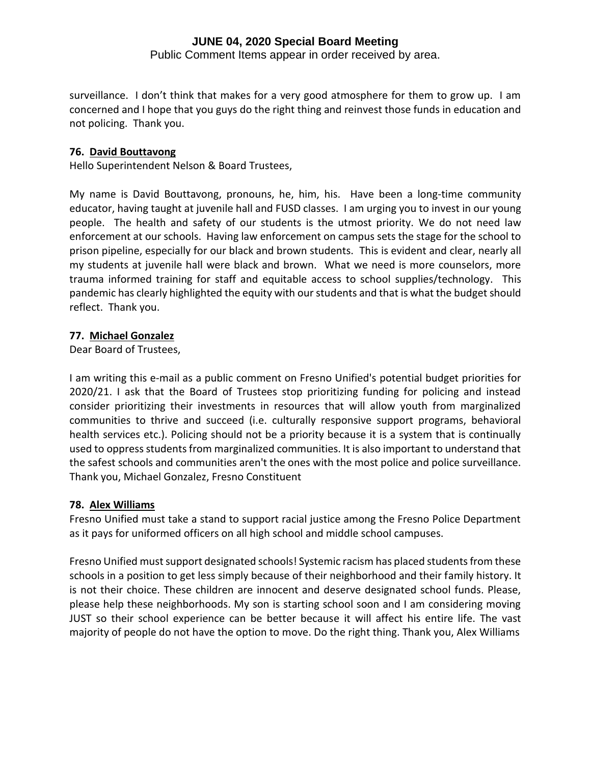Public Comment Items appear in order received by area.

surveillance. I don't think that makes for a very good atmosphere for them to grow up. I am concerned and I hope that you guys do the right thing and reinvest those funds in education and not policing. Thank you.

#### **76. David Bouttavong**

Hello Superintendent Nelson & Board Trustees,

My name is David Bouttavong, pronouns, he, him, his. Have been a long-time community educator, having taught at juvenile hall and FUSD classes. I am urging you to invest in our young people. The health and safety of our students is the utmost priority. We do not need law enforcement at our schools. Having law enforcement on campus sets the stage for the school to prison pipeline, especially for our black and brown students. This is evident and clear, nearly all my students at juvenile hall were black and brown. What we need is more counselors, more trauma informed training for staff and equitable access to school supplies/technology. This pandemic has clearly highlighted the equity with our students and that is what the budget should reflect. Thank you.

## **77. Michael Gonzalez**

Dear Board of Trustees,

I am writing this e-mail as a public comment on Fresno Unified's potential budget priorities for 2020/21. I ask that the Board of Trustees stop prioritizing funding for policing and instead consider prioritizing their investments in resources that will allow youth from marginalized communities to thrive and succeed (i.e. culturally responsive support programs, behavioral health services etc.). Policing should not be a priority because it is a system that is continually used to oppress students from marginalized communities. It is also important to understand that the safest schools and communities aren't the ones with the most police and police surveillance. Thank you, Michael Gonzalez, Fresno Constituent

## **78. Alex Williams**

Fresno Unified must take a stand to support racial justice among the Fresno Police Department as it pays for uniformed officers on all high school and middle school campuses.

Fresno Unified must support designated schools! Systemic racism has placed students from these schools in a position to get less simply because of their neighborhood and their family history. It is not their choice. These children are innocent and deserve designated school funds. Please, please help these neighborhoods. My son is starting school soon and I am considering moving JUST so their school experience can be better because it will affect his entire life. The vast majority of people do not have the option to move. Do the right thing. Thank you, Alex Williams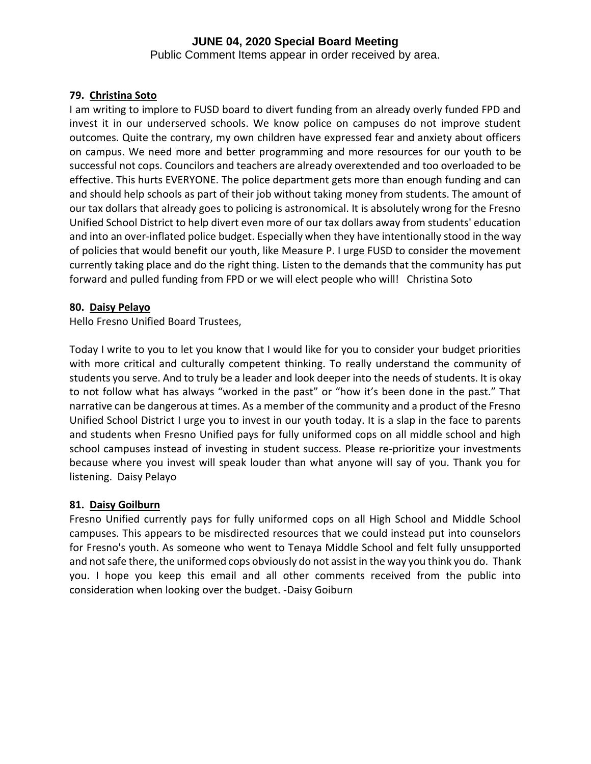Public Comment Items appear in order received by area.

# **79. Christina Soto**

I am writing to implore to FUSD board to divert funding from an already overly funded FPD and invest it in our underserved schools. We know police on campuses do not improve student outcomes. Quite the contrary, my own children have expressed fear and anxiety about officers on campus. We need more and better programming and more resources for our youth to be successful not cops. Councilors and teachers are already overextended and too overloaded to be effective. This hurts EVERYONE. The police department gets more than enough funding and can and should help schools as part of their job without taking money from students. The amount of our tax dollars that already goes to policing is astronomical. It is absolutely wrong for the Fresno Unified School District to help divert even more of our tax dollars away from students' education and into an over-inflated police budget. Especially when they have intentionally stood in the way of policies that would benefit our youth, like Measure P. I urge FUSD to consider the movement currently taking place and do the right thing. Listen to the demands that the community has put forward and pulled funding from FPD or we will elect people who will! Christina Soto

## **80. Daisy Pelayo**

Hello Fresno Unified Board Trustees,

Today I write to you to let you know that I would like for you to consider your budget priorities with more critical and culturally competent thinking. To really understand the community of students you serve. And to truly be a leader and look deeper into the needs of students. It is okay to not follow what has always "worked in the past" or "how it's been done in the past." That narrative can be dangerous at times. As a member of the community and a product of the Fresno Unified School District I urge you to invest in our youth today. It is a slap in the face to parents and students when Fresno Unified pays for fully uniformed cops on all middle school and high school campuses instead of investing in student success. Please re-prioritize your investments because where you invest will speak louder than what anyone will say of you. Thank you for listening. Daisy Pelayo

## **81. Daisy Goilburn**

Fresno Unified currently pays for fully uniformed cops on all High School and Middle School campuses. This appears to be misdirected resources that we could instead put into counselors for Fresno's youth. As someone who went to Tenaya Middle School and felt fully unsupported and not safe there, the uniformed cops obviously do not assist in the way you think you do. Thank you. I hope you keep this email and all other comments received from the public into consideration when looking over the budget. -Daisy Goiburn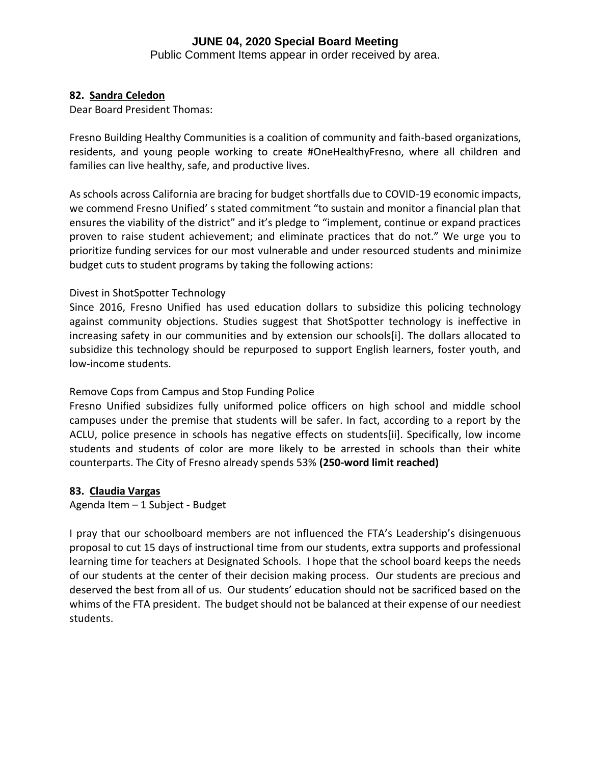Public Comment Items appear in order received by area.

## **82. Sandra Celedon**

Dear Board President Thomas:

Fresno Building Healthy Communities is a coalition of community and faith-based organizations, residents, and young people working to create #OneHealthyFresno, where all children and families can live healthy, safe, and productive lives.

As schools across California are bracing for budget shortfalls due to COVID-19 economic impacts, we commend Fresno Unified' s stated commitment "to sustain and monitor a financial plan that ensures the viability of the district" and it's pledge to "implement, continue or expand practices proven to raise student achievement; and eliminate practices that do not." We urge you to prioritize funding services for our most vulnerable and under resourced students and minimize budget cuts to student programs by taking the following actions:

## Divest in ShotSpotter Technology

Since 2016, Fresno Unified has used education dollars to subsidize this policing technology against community objections. Studies suggest that ShotSpotter technology is ineffective in increasing safety in our communities and by extension our schools[i]. The dollars allocated to subsidize this technology should be repurposed to support English learners, foster youth, and low-income students.

## Remove Cops from Campus and Stop Funding Police

Fresno Unified subsidizes fully uniformed police officers on high school and middle school campuses under the premise that students will be safer. In fact, according to a report by the ACLU, police presence in schools has negative effects on students[ii]. Specifically, low income students and students of color are more likely to be arrested in schools than their white counterparts. The City of Fresno already spends 53% **(250-word limit reached)**

## **83. Claudia Vargas**

Agenda Item – 1 Subject - Budget

I pray that our schoolboard members are not influenced the FTA's Leadership's disingenuous proposal to cut 15 days of instructional time from our students, extra supports and professional learning time for teachers at Designated Schools. I hope that the school board keeps the needs of our students at the center of their decision making process. Our students are precious and deserved the best from all of us. Our students' education should not be sacrificed based on the whims of the FTA president. The budget should not be balanced at their expense of our neediest students.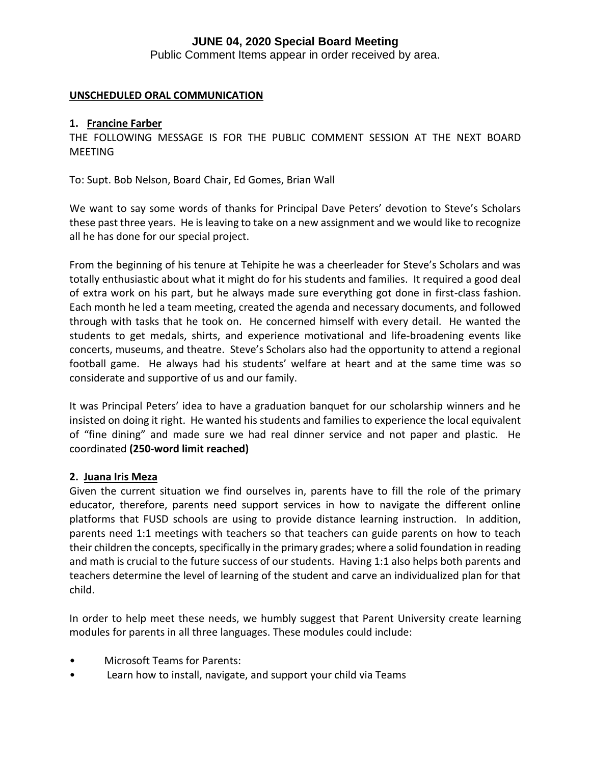Public Comment Items appear in order received by area.

## **UNSCHEDULED ORAL COMMUNICATION**

#### **1. Francine Farber**

THE FOLLOWING MESSAGE IS FOR THE PUBLIC COMMENT SESSION AT THE NEXT BOARD MEETING

To: Supt. Bob Nelson, Board Chair, Ed Gomes, Brian Wall

We want to say some words of thanks for Principal Dave Peters' devotion to Steve's Scholars these past three years. He is leaving to take on a new assignment and we would like to recognize all he has done for our special project.

From the beginning of his tenure at Tehipite he was a cheerleader for Steve's Scholars and was totally enthusiastic about what it might do for his students and families. It required a good deal of extra work on his part, but he always made sure everything got done in first-class fashion. Each month he led a team meeting, created the agenda and necessary documents, and followed through with tasks that he took on. He concerned himself with every detail. He wanted the students to get medals, shirts, and experience motivational and life-broadening events like concerts, museums, and theatre. Steve's Scholars also had the opportunity to attend a regional football game. He always had his students' welfare at heart and at the same time was so considerate and supportive of us and our family.

It was Principal Peters' idea to have a graduation banquet for our scholarship winners and he insisted on doing it right. He wanted his students and families to experience the local equivalent of "fine dining" and made sure we had real dinner service and not paper and plastic. He coordinated **(250-word limit reached)**

## **2. Juana Iris Meza**

Given the current situation we find ourselves in, parents have to fill the role of the primary educator, therefore, parents need support services in how to navigate the different online platforms that FUSD schools are using to provide distance learning instruction. In addition, parents need 1:1 meetings with teachers so that teachers can guide parents on how to teach their children the concepts, specifically in the primary grades; where a solid foundation in reading and math is crucial to the future success of our students. Having 1:1 also helps both parents and teachers determine the level of learning of the student and carve an individualized plan for that child.

In order to help meet these needs, we humbly suggest that Parent University create learning modules for parents in all three languages. These modules could include:

- Microsoft Teams for Parents:
- Learn how to install, navigate, and support your child via Teams